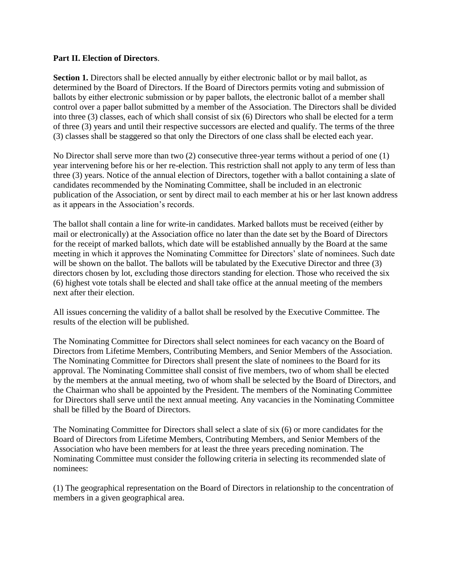## **Part II. Election of Directors**.

**Section 1.** Directors shall be elected annually by either electronic ballot or by mail ballot, as determined by the Board of Directors. If the Board of Directors permits voting and submission of ballots by either electronic submission or by paper ballots, the electronic ballot of a member shall control over a paper ballot submitted by a member of the Association. The Directors shall be divided into three (3) classes, each of which shall consist of six (6) Directors who shall be elected for a term of three (3) years and until their respective successors are elected and qualify. The terms of the three (3) classes shall be staggered so that only the Directors of one class shall be elected each year.

No Director shall serve more than two (2) consecutive three-year terms without a period of one (1) year intervening before his or her re-election. This restriction shall not apply to any term of less than three (3) years. Notice of the annual election of Directors, together with a ballot containing a slate of candidates recommended by the Nominating Committee, shall be included in an electronic publication of the Association, or sent by direct mail to each member at his or her last known address as it appears in the Association's records.

The ballot shall contain a line for write-in candidates. Marked ballots must be received (either by mail or electronically) at the Association office no later than the date set by the Board of Directors for the receipt of marked ballots, which date will be established annually by the Board at the same meeting in which it approves the Nominating Committee for Directors' slate of nominees. Such date will be shown on the ballot. The ballots will be tabulated by the Executive Director and three (3) directors chosen by lot, excluding those directors standing for election. Those who received the six (6) highest vote totals shall be elected and shall take office at the annual meeting of the members next after their election.

All issues concerning the validity of a ballot shall be resolved by the Executive Committee. The results of the election will be published.

The Nominating Committee for Directors shall select nominees for each vacancy on the Board of Directors from Lifetime Members, Contributing Members, and Senior Members of the Association. The Nominating Committee for Directors shall present the slate of nominees to the Board for its approval. The Nominating Committee shall consist of five members, two of whom shall be elected by the members at the annual meeting, two of whom shall be selected by the Board of Directors, and the Chairman who shall be appointed by the President. The members of the Nominating Committee for Directors shall serve until the next annual meeting. Any vacancies in the Nominating Committee shall be filled by the Board of Directors.

The Nominating Committee for Directors shall select a slate of six (6) or more candidates for the Board of Directors from Lifetime Members, Contributing Members, and Senior Members of the Association who have been members for at least the three years preceding nomination. The Nominating Committee must consider the following criteria in selecting its recommended slate of nominees:

(1) The geographical representation on the Board of Directors in relationship to the concentration of members in a given geographical area.